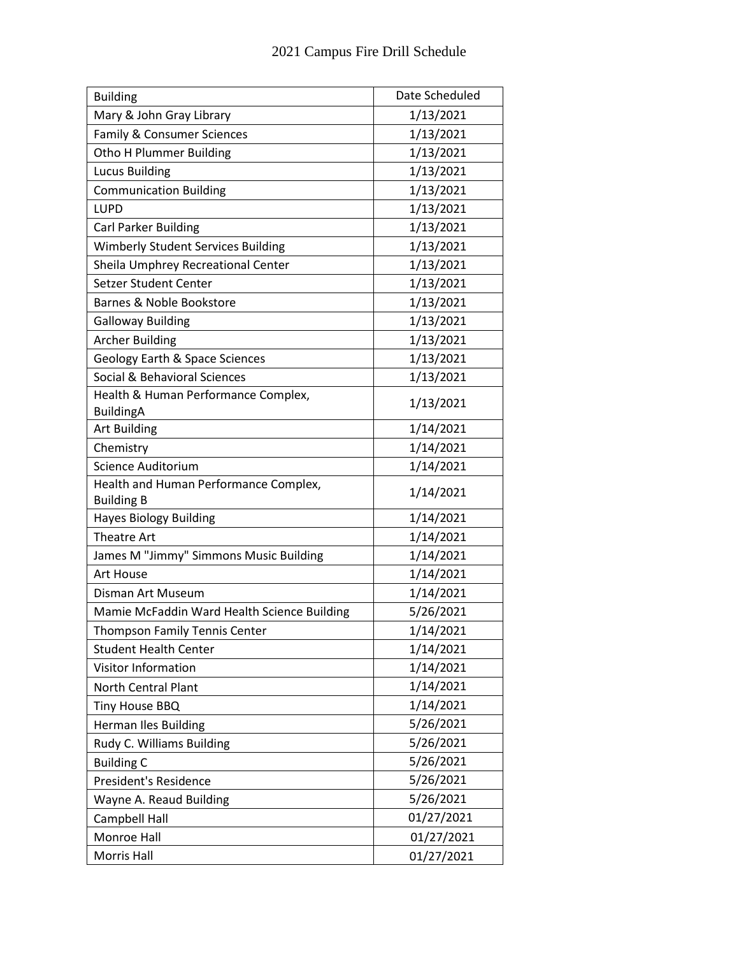| <b>Building</b>                             | Date Scheduled |
|---------------------------------------------|----------------|
| Mary & John Gray Library                    | 1/13/2021      |
| Family & Consumer Sciences                  | 1/13/2021      |
| Otho H Plummer Building                     | 1/13/2021      |
| <b>Lucus Building</b>                       | 1/13/2021      |
| <b>Communication Building</b>               | 1/13/2021      |
| <b>LUPD</b>                                 | 1/13/2021      |
| Carl Parker Building                        | 1/13/2021      |
| <b>Wimberly Student Services Building</b>   | 1/13/2021      |
| Sheila Umphrey Recreational Center          | 1/13/2021      |
| Setzer Student Center                       | 1/13/2021      |
| Barnes & Noble Bookstore                    | 1/13/2021      |
| <b>Galloway Building</b>                    | 1/13/2021      |
| <b>Archer Building</b>                      | 1/13/2021      |
| <b>Geology Earth &amp; Space Sciences</b>   | 1/13/2021      |
| Social & Behavioral Sciences                | 1/13/2021      |
| Health & Human Performance Complex,         | 1/13/2021      |
| <b>BuildingA</b><br><b>Art Building</b>     |                |
|                                             | 1/14/2021      |
| Chemistry<br>Science Auditorium             | 1/14/2021      |
| Health and Human Performance Complex,       | 1/14/2021      |
| <b>Building B</b>                           | 1/14/2021      |
| <b>Hayes Biology Building</b>               | 1/14/2021      |
| Theatre Art                                 | 1/14/2021      |
| James M "Jimmy" Simmons Music Building      | 1/14/2021      |
| Art House                                   | 1/14/2021      |
| Disman Art Museum                           | 1/14/2021      |
| Mamie McFaddin Ward Health Science Building | 5/26/2021      |
| Thompson Family Tennis Center               | 1/14/2021      |
| <b>Student Health Center</b>                | 1/14/2021      |
| Visitor Information                         | 1/14/2021      |
| <b>North Central Plant</b>                  | 1/14/2021      |
| Tiny House BBQ                              | 1/14/2021      |
| <b>Herman Iles Building</b>                 | 5/26/2021      |
| Rudy C. Williams Building                   | 5/26/2021      |
| <b>Building C</b>                           | 5/26/2021      |
| President's Residence                       | 5/26/2021      |
| Wayne A. Reaud Building                     | 5/26/2021      |
| Campbell Hall                               | 01/27/2021     |
| Monroe Hall                                 | 01/27/2021     |
| Morris Hall                                 | 01/27/2021     |